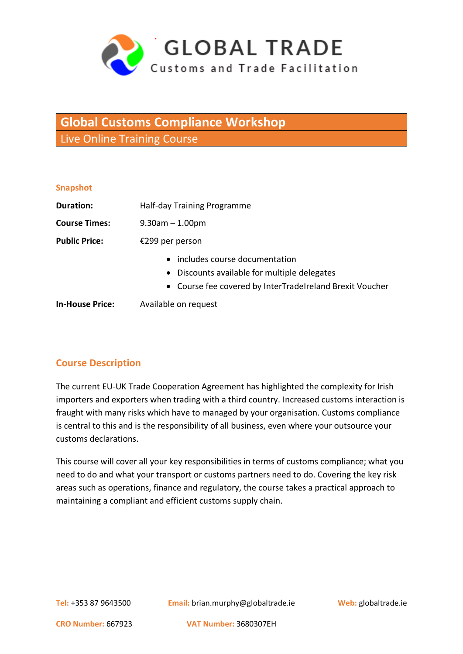

# **Global Customs Compliance Workshop** Live Online Training Course

#### **Snapshot**

| Duration:              | Half-day Training Programme                                                                                                                            |
|------------------------|--------------------------------------------------------------------------------------------------------------------------------------------------------|
| <b>Course Times:</b>   | $9.30$ am $-1.00$ pm                                                                                                                                   |
| <b>Public Price:</b>   | €299 per person                                                                                                                                        |
|                        | includes course documentation<br>$\bullet$<br>• Discounts available for multiple delegates<br>• Course fee covered by InterTradeIreland Brexit Voucher |
| <b>In-House Price:</b> | Available on request                                                                                                                                   |

# **Course Description**

The current EU-UK Trade Cooperation Agreement has highlighted the complexity for Irish importers and exporters when trading with a third country. Increased customs interaction is fraught with many risks which have to managed by your organisation. Customs compliance is central to this and is the responsibility of all business, even where your outsource your customs declarations.

This course will cover all your key responsibilities in terms of customs compliance; what you need to do and what your transport or customs partners need to do. Covering the key risk areas such as operations, finance and regulatory, the course takes a practical approach to maintaining a compliant and efficient customs supply chain.

**Tel:** +353 87 9643500 **Email:** brian.murphy@globaltrade.ie **Web:** globaltrade.ie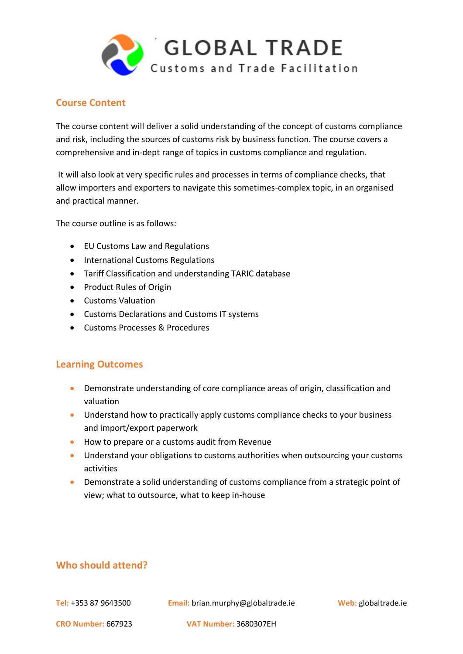

## **Course Content**

The course content will deliver a solid understanding of the concept of customs compliance and risk, including the sources of customs risk by business function. The course covers a comprehensive and in-dept range of topics in customs compliance and regulation.

It will also look at very specific rules and processes in terms of compliance checks, that allow importers and exporters to navigate this sometimes-complex topic, in an organised and practical manner.

The course outline is as follows:

- EU Customs Law and Regulations
- International Customs Regulations
- Tariff Classification and understanding TARIC database
- Product Rules of Origin
- Customs Valuation
- Customs Declarations and Customs IT systems
- Customs Processes & Procedures

### **Learning Outcomes**

- Demonstrate understanding of core compliance areas of origin, classification and valuation
- Understand how to practically apply customs compliance checks to your business and import/export paperwork
- How to prepare or a customs audit from Revenue
- Understand your obligations to customs authorities when outsourcing your customs activities
- Demonstrate a solid understanding of customs compliance from a strategic point of view; what to outsource, what to keep in-house

# **Who should attend?**